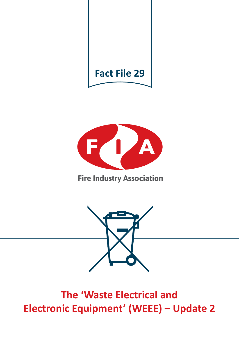



# **Fire Industry Association**



# **The 'Waste Electrical and Electronic Equipment' (WEEE) – Update 2**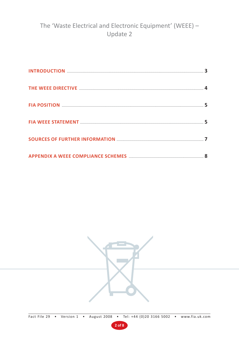# The 'Waste Electrical and Electronic Equipment' (WEEE) -Update 2



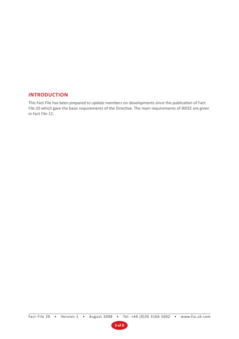#### **INTRODUCTION**

This Fact File has been prepared to update members on developments since the publication of Fact File 20 which gave the basic requirements of the Directive. The main requirements of WEEE are given in Fact File 12.

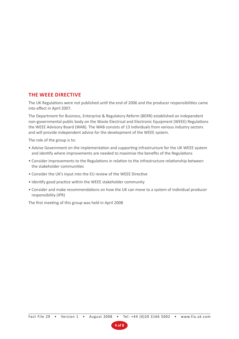### **THE WEEE DIRECTIVE**

The UK Regulations were not published until the end of 2006 and the producer responsibilities came into effect in April 2007.

The Department for Business, Enterprise & Regulatory Reform (BERR) established an independent non-governmental public body on the Waste Electrical and Electronic Equipment (WEEE) Regulations the WEEE Advisory Board (WAB). The WAB consists of 13 individuals from various industry sectors and will provide independent advice for the development of the WEEE system.

The role of the group is to:

- Advise Government on the implementation and supporting infrastructure for the UK WEEE system and identify where improvements are needed to maximise the benefits of the Regulations
- Consider improvements to the Regulations in relation to the infrastructure relationship between the stakeholder communities
- Consider the UK's input into the EU review of the WEEE Directive
- Identify good practice within the WEEE stakeholder community
- Consider and make recommendations on how the UK can move to a system of individual producer responsibility (IPR)

The first meeting of this group was held in April 2008

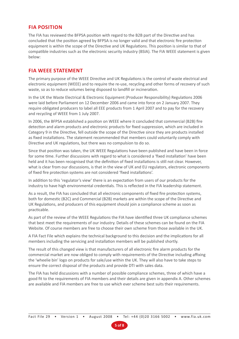### **FIA POSITION**

The FIA has reviewed the BFPSA position with regard to the B2B part of the Directive and has concluded that the position agreed by BFPSA is no longer valid and that electronic fire protection equipment is within the scope of the Directive and UK Regulations. This position is similar to that of compatible industries such as the electronic security industry (BSIA). The FIA WEEE statement is given below:

### **FIA WEEE STATEMENT**

The primary purpose of the WEEE Directive and UK Regulations is the control of waste electrical and electronic equipment (WEEE) and to require the re-use, recycling and other forms of recovery of such waste, so as to reduce volumes being disposed to landfill or incineration.

In the UK the Waste Electrical & Electronic Equipment (Producer Responsibility) Regulations 2006 were laid before Parliament on 12 December 2006 and came into force on 2 January 2007. They require obligated producers to label all EEE products from 1 April 2007 and to pay for the recovery and recycling of WEEE from 1 July 2007.

In 2006, the BFPSA established a position on WEEE where it concluded that commercial (B2B) fire detection and alarm products and electronic products for fixed suppression, which are included in Category 9 in the Directive, fell outside the scope of the Directive since they are products installed as fixed installations. The statement recommended that members could voluntarily comply with Directive and UK regulations, but there was no compulsion to do so.

Since that position was taken, the UK WEEE Regulations have been published and have been in force for some time. Further discussions with regard to what is considered a 'fixed installation' have been held and it has been recognised that the definition of fixed installations is still not clear. However, what is clear from our discussions, is that in the view of UK and EU regulators, electronic components of fixed fire protection systems are not considered 'fixed installations'.

In addition to this 'regulator's view' there is an expectation from users of our products for the industry to have high environmental credentials. This is reflected in the FIA leadership statement.

As a result, the FIA has concluded that all electronic components of fixed fire protection systems, both for domestic (B2C) and Commercial (B2B) markets are within the scope of the Directive and UK Regulations, and producers of this equipment should join a compliance scheme as soon as practicable.

As part of the review of the WEEE Regulations the FIA have identified three UK compliance schemes that best meet the requirements of our industry. Details of these schemes can be found on the FIA Website. Of course members are free to choose their own scheme from those available in the UK.

A FIA Fact File which explains the technical background to this decision and the implications for all members including the servicing and installation members will be published shortly.

The result of this changed view is that manufacturers of all electronic fire alarm products for the commercial market are now obliged to comply with requirements of the Directive including affixing the 'wheelie bin' logo on products for sale/use within the UK. They will also have to take steps to ensure the correct disposal of the products and provide DTI with sales data.

The FIA has held discussions with a number of possible compliance schemes, three of which have a good fit to the requirements of FIA members and their details are given in appendix A. Other schemes are available and FIA members are free to use which ever scheme best suits their requirements.

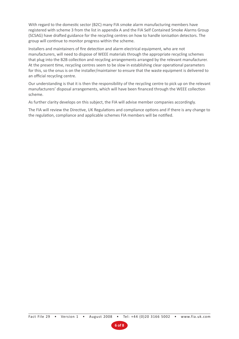With regard to the domestic sector (B2C) many FIA smoke alarm manufacturing members have registered with scheme 3 from the list in appendix A and the FIA Self Contained Smoke Alarms Group (SCSAG) have drafted guidance for the recycling centres on how to handle ionisation detectors. The group will continue to monitor progress within the scheme.

Installers and maintainers of fire detection and alarm electrical equipment, who are not manufacturers, will need to dispose of WEEE materials through the appropriate recycling schemes that plug into the B2B collection and recycling arrangements arranged by the relevant manufacturer. At the present time, recycling centres seem to be slow in establishing clear operational parameters for this, so the onus is on the installer/maintainer to ensure that the waste equipment is delivered to an official recycling centre.

Our understanding is that it is then the responsibility of the recycling centre to pick up on the relevant manufacturers' disposal arrangements, which will have been financed through the WEEE collection scheme.

As further clarity develops on this subject, the FIA will advise member companies accordingly.

The FIA will review the Directive, UK Regulations and compliance options and if there is any change to the regulation, compliance and applicable schemes FIA members will be notified.

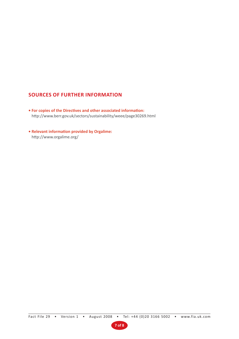## **SOURCES OF FURTHER INFORMATION**

- **For copies of the Directives and other associated information:** http://www.berr.gov.uk/sectors/sustainability/weee/page30269.html
- **Relevant information provided by Orgalime:** http://www.orgalime.org/